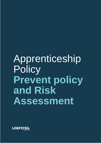# Apprenticeship **Policy Prevent policy and Risk Assessment**

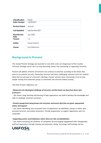| <b>Classification</b>      | Public           |
|----------------------------|------------------|
| Date Created               | 13/03/2019       |
| <b>Review Period</b>       | Annual           |
| <b>Last Updated</b>        | September 2021   |
| <b>Next Review</b><br>Date | <b>July 2022</b> |
| <b>Version</b>             | 1.3              |
| Author                     | Aaron Saxton     |
| Owner                      | Tom Robinson     |

## **Background to Prevent**

The revised Prevent Strategy was launched in June 2011 and is an integral part of the Counter Terrorism Strategy and its aim is to stop becoming, drawn into, promoting or supporting terrorism.

Prevent will address all forms of terrorism but continue to prioritise according to the threat they pose to our national security. Preventing terrorism will mean challenging extremist (and non-violent) ideas that are also part of a terrorist's ideology. Prevent will also mean intervening to try to stop people moving from extremist groups or extremism into terrorist-related activity.

The three Prevent Objectives are:

#### >*Respond to the ideological challenge of terrorism and the threat we face from those who promote it*

**-** this means using teaching and learning to help apprentices and staff to develop the knowledge and skills to challenge extremist narratives*.*

#### >*Prevent people from being drawn into terrorism and ensure that they are given appropriate advice and support*

– this means identifying how to prevent harm to apprentices by individuals, groups or others who promote terrorism and violent extremism. Provide programmes to support apprentices who are vulnerable.

#### >*Supporting sectors and institutions where there are risks of radicalisation*

– this means increasing the resilience of companies by encouraging engagement with management, staff and apprentices through training and awareness raising. Encourage staff training and use

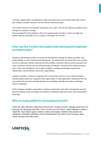curriculum opportunities for apprentices which allow grievances to be aired & dealt with. Ensure that employer provider resources are not used by extremist groups.

The Counter Terrorism and Security Act became law in 2015. This put the national counterterrorism strategy on a statutory footing.

This has implications for employers which are apprenticeship providers in their own right and partner agencies and bodies such as schools, universities and councils.

### **How can the Further Education and training and employer providers help?**

Education and training providers promote and facilitate the exchange of opinion and ideas, and enable debate as well as learning and employment. The Government has stated that it has no wish to limit or otherwise interfere with this free flow of ideas, and that it will be careful to balance the need to preserve national security with protecting civil liberties. Education and training providers have a clear and unambiguous role to play in helping to safeguard vulnerable people from radicalisation and recruitment by terrorist organisations.

Employer providers can play an important part in preventing terrorism. Just as they can help to educate people about risk, companies offer opportunities to help apprentices understand the risks associated with extremism and help develop the knowledge and skills to be able to challenge terrorist ideologies.

Staff in employer provider organisations working in partnership with other local agencies are well placed to identify needs and support the welfare of individual apprentices who may be particularly vulnerable.

### **Who is responsible for pursuing terrorists?**

There are other elements within the Government's counter terrorism strategy which focus on pursuing and disrupting terrorists. This is not the role of 'Prevent,' which operates in what is called the 'non-criminal space' similar to other preventative initiatives that protect and safeguard vulnerable individuals at risk of being drawn into harms such as drugs, gang culture and gun and knife crime.

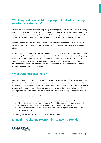#### **What support is available for people at risk of becoming involved in extremism?**

Channel is a joint initiative that offers help and guidance to people who may be at risk of becoming involved in extremism. Extremist organisations sometimes try to recruit people who are susceptible or vulnerable, in person or through the internet. If the early signs are spotted and acted upon, it safeguards the person concerned and helps protect all of us who live and work in the city.

Concerns that an individual may be vulnerable to radicalisation does not mean that you think the person is a terrorist; it means that you are concerned that they are prone to being exploited by others.

It is important to that staff trust their professional judgement - if they are concerned that someone is at risk of getting involved in extremism, they should in the first instance contact the Safeguarding Lead at the employer provider organisation who should if required contact their Channel Coordinator. They will, in partnership with other safeguarding professionals, investigate further to assess the nature and extent of the risk and the Channel Panel will develop the most appropriate support package for the individual concerned.

#### **What training is available?**

WRAP (workshop to raise awareness of Prevent) training is available for staff whose work may bring them into contact with people who may be vulnerable to becoming involved in extremism. The workshop is an introduction to Prevent and covers issues such as crime, normal social processes that are used to influence and manipulate, extreme right-wing and Al Qa'ida case studies, terrorist ideologies and factors which may contribute to an individual's susceptibility to a terrorist ideology.

This workshop provides attendees with:

- An awareness and understanding of the Prevent agenda and their role within it
- The ability to use existing expertise and professional judgement to recognise potentially vulnerable individuals who may be susceptible to messages of violence
- The confidence to use a commonsense-based response to support and intervene with vulnerable people

This training will be complete each year by all members of staff.

### **Managing Risks and Responding to Events Toolkit**

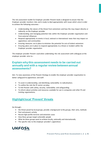The risk assessment toolkit for Employer provider Prevent leads is designed to ensure that the Employer provider monitors risks and is ready to deal appropriately with issues which arise in order to achieve the following outcomes: -

- Understanding the nature of the threat from extremism and how this may impact directly or indirectly on the Employer provider
- Understanding and managing potential risks within the Employer provider organisation and from external influences
- Respond appropriately to events in local, national or international news that may impact on apprentices and communities
- Ensuring measures are in place to minimise the potential for acts of violent extremism
- Ensuring plans are in place to respond appropriately to a threat or incident within the Employer provider organisation

The employer provider Prevent Lead when undertaking this risk assessment with colleagues at the employer provider aims to:-

#### **Explain why this assessment needs to be carried out annually and with a regular review between annual assessments?**

Aim: To raise awareness of the Prevent Strategy to enable the employer provider organisation to better safeguard its apprentices and staff.

- To assist in understanding and identifying vulnerability to radicalisation;
- To outline the role the FE sector can play;
- To link Prevent with safety, security, vulnerability and safeguarding;
- To inform about activities and resources available for use in companies and other FE and training organisations;

# **Highlight local 'Prevent' threats**

Go through:-

- the threat posed by local groups, provide a background to the groups, their aims, methods
- Past and present activity
- Recent high-profile terrorist and extremist cases
- How these groups target vulnerable people
- What do these groups want to achieve locally, nationally and internationally
- The specific risks to the employer provider's apprentices

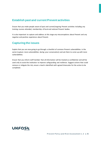# **Establish past and current Prevent activities**

Ensure that you make people aware of past and current/ongoing Prevent activities including any training courses attended, membership of local and national Prevent bodies.

It is also important to capture and address at this stage any misconceptions about Prevent and any negative and positive experience about Prevent.

## **Capturing the issues**

Explain that you are now going to go through a checklist of common Prevent vulnerabilities in the sector (capture more vulnerabilities during your conversation) and ask them to come up with more vulnerabilities.

Ensure that you inform staff member that all information will be treated as confidential and will be used only to assist the institution to improve safeguarding and resilience. Suggest actions that could remove or mitigate the risk, ensure a lead is identified with agreed timescales for the action to be completed.

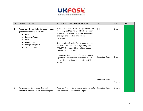

| <b>No</b>      | Prevent Vulnerability                                                                                                                                                                 | Action to remove or mitigate vulnerability                                                                                                                                                                                                                                                                                                                                                                                                                                                                                            | Who                                 | When               | <b>RAG</b> |
|----------------|---------------------------------------------------------------------------------------------------------------------------------------------------------------------------------------|---------------------------------------------------------------------------------------------------------------------------------------------------------------------------------------------------------------------------------------------------------------------------------------------------------------------------------------------------------------------------------------------------------------------------------------------------------------------------------------------------------------------------------------|-------------------------------------|--------------------|------------|
| $\mathbf{1}$   | <b>Awareness</b> - Do the following people have a<br>good understanding of Prevent<br>Board<br><b>Executive Team</b><br>Staff<br>Apprentices<br>Safeguarding leads<br>Security Staff? | Prevent is included in the rolling rota of topics<br>for Managers Meeting (weekly). Here senior<br>leaders of the business are given an overview<br>of a topic and question and discuss as<br>necessary.<br>Team Leaders, Training Team, Board Members<br>have all completed staff safeguarding and<br>PREVENT Training, evidence of this is done<br>through the quiz system.<br>Continuous development of Prevent Training,<br>Update information from local contact on a<br>regular basis and inform apprentices, SMT, and<br>Board | <b>DSL</b><br><b>Education Team</b> | Ongoing<br>Ongoing |            |
|                |                                                                                                                                                                                       |                                                                                                                                                                                                                                                                                                                                                                                                                                                                                                                                       | <b>Education Team</b>               | Ongoing            |            |
| $\overline{2}$ | Safeguarding - Do safeguarding and<br>apprentice support service leads recognise                                                                                                      | Appendix A of the Safeguarding policy refers to<br>Radicalisation and Extremism. It give                                                                                                                                                                                                                                                                                                                                                                                                                                              | <b>Education Team</b>               | Ongoing            |            |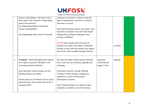

|   | Prevent vulnerabilities and what to do if    | employees instructions on how to spot the       |               |          |  |
|---|----------------------------------------------|-------------------------------------------------|---------------|----------|--|
|   | they suspect that someone is being being     | signs of radicalisation and who to contact if   |               |          |  |
|   | drawn into terrorism?                        | they have a concern.                            |               |          |  |
|   | Do safeguarding policies incorporate         |                                                 |               |          |  |
|   | Prevent vulnerabilities?                     | Staff attend training sessions and events, some |               |          |  |
|   |                                              | hosted by local police force and Total People.  |               |          |  |
|   | Are safeguarding leads aware of Channel?     | Safeguarding staff have undergone extra         |               |          |  |
|   |                                              | training in PREVENT.                            |               |          |  |
|   |                                              |                                                 |               |          |  |
|   |                                              | ACTION Only training team are aware of          |               |          |  |
|   |                                              | Channel, this needs to be inbuilt in PREVENT    |               | Jan 2022 |  |
|   |                                              | training to share with the business the support |               |          |  |
|   |                                              | that can be made available through Channel.     |               |          |  |
|   |                                              |                                                 |               |          |  |
|   |                                              |                                                 |               |          |  |
| 3 | IT Systems - What filtering/firewall systems | We have the ability to block specific domains,  | Education     | Ongoing  |  |
|   | are in place to prevent individuals from     | this is some we are constantly updating and     | Team/Internal |          |  |
|   | accessing extremist websites?                | reviewing.                                      | Support Team  |          |  |
|   |                                              |                                                 |               |          |  |
|   | Have they been tested recently, are the      | Information Security Training, Phishing         |               |          |  |
|   | filtering systems up to date?                | Training, E-Safety training is ongoing for      |               |          |  |
|   |                                              | apprentices as part of Professional             |               |          |  |
|   | Do they alert you if someone tries to access | Development sessions.                           |               |          |  |
|   | extremist sites, do you know what to do if   |                                                 |               |          |  |
|   | someone does?                                | Strict firewall settings are in place to meet   |               |          |  |
|   |                                              | compliance standards across the business.       |               |          |  |
|   |                                              |                                                 |               |          |  |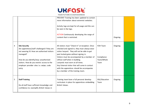

| 5 | <b>Staff Training</b><br>Do all staff have sufficient knowledge and<br>confidence to: exemplify British Values in                                                                                                                                                            | Training team have a full personal develop<br>curriculum in place for apprentices embedding<br><b>British Values.</b>                                                                                                                                                                                                                                                                                                                               | DSL/Education<br>Team                        | Ongoing |  |
|---|------------------------------------------------------------------------------------------------------------------------------------------------------------------------------------------------------------------------------------------------------------------------------|-----------------------------------------------------------------------------------------------------------------------------------------------------------------------------------------------------------------------------------------------------------------------------------------------------------------------------------------------------------------------------------------------------------------------------------------------------|----------------------------------------------|---------|--|
| 4 | <b>Site Security</b><br>Are apprentices/staff challenged if they are<br>not wearing ID. How are authorised visitors<br>managed?<br>How do you identify/stop unauthorised<br>visitors. How do you restrict access to the<br>employer provider sites i.e. swipe, code<br>entry | All visitors must "Check In" at reception. Once<br>checked and signed in, they must always wear<br>visitor lanyard. They will not be able to get<br>past locked gates without signing in.<br>Visitors must be accompanied by a member of<br>UKFast staff when in building.<br>Lanyards must worn at all times.<br>Any External visitor that will come in contact<br>with the apprentices should be accompanies<br>by a member of the training team. | FOH Team<br>Compliance<br>Team/Whole<br>Team | Ongoing |  |
|   |                                                                                                                                                                                                                                                                              | PREVENT Training has been updated to contain<br>more information about extremist websites.<br>Activity logs are kept for all usage and this can<br>be seen in the logs.<br>ACTION Continuously developing the range of<br>content that is restricted.                                                                                                                                                                                               |                                              | Ongoing |  |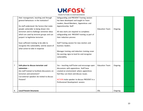

|                | their management, teaching and through<br>general behaviours in the institution?<br>Do staff understand the factors that make<br>people vulnerable to being drawn into                        | Safeguarding and PREVENT Training session<br>has been developed and taught to Team<br>Leaders, Board Members, Apprentices and<br>Apprenticeship Staff                                                                                                                   | <b>Education Team</b> | Ongoing |  |
|----------------|-----------------------------------------------------------------------------------------------------------------------------------------------------------------------------------------------|-------------------------------------------------------------------------------------------------------------------------------------------------------------------------------------------------------------------------------------------------------------------------|-----------------------|---------|--|
|                | terrorism and to challenge extremist ideas<br>which are used by terrorist groups and can<br>purport to legitimise terrorism                                                                   | All new starts are required to completes<br>safeguarding and PREVENT training as part of<br>their induction process                                                                                                                                                     |                       |         |  |
|                | have sufficient training to be able to<br>recognise this vulnerability and be aware of<br>what action to take in response                                                                     | Staff Training session for new starters and<br>business leaders.<br>Manager training and induction training cover<br>the warning signs to look for and recognise<br>vulnerability.                                                                                      |                       |         |  |
| $\overline{7}$ | Safe place to discuss terrorism and<br>extremism $-$<br>Are staff trained to facilitate discussions on<br>terrorism and extremism?<br>Can external speakers be invited to discuss<br>Prevent? | Yes - teaching staff foster and encourage open<br>discussions with apprentices. Staff have<br>created an environment where apprentices<br>feel they can share and discuss issues.<br>ACTION Invite speaker to discuss PREVENT in a<br>Professional Development session. | <b>Education Team</b> | Ongoing |  |
| 8              | <b>Local Prevent Structures</b>                                                                                                                                                               |                                                                                                                                                                                                                                                                         | <b>DSL</b>            | Ongoing |  |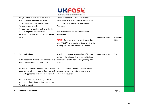

| Are you linked in with the local Prevent<br>Company has relationships with Greater<br>Manchester Police, Manchetser Safeguarding<br>Board or regional Prevent FE/HE group<br>Do you know who your local authority<br>Children's Board, Education and Training<br>Prevent Co-ordinator is?<br>Foundation.<br>Are you aware of the local authority lead is<br>for each employer provider site?<br>Yes - Manchester Prevent Coordinator is<br>Awareness of key Police and regional HE/FE<br>Samiya Butt<br>lead?<br><b>Education Team</b><br>September<br>2021<br><b>ACTION</b> Continue to even grow stronger links<br>with PREVENT organisations. Close relationship<br>building with external services is essential.<br><b>Education Team</b><br>9<br>Yes all PREVENT and Safeguarding officers are<br><b>Communications</b><br>Ongoing<br>stated in the safeguarding policy and training<br>Is the institution Prevent Lead and their role<br>Apprentices are trained on safeguarding and<br>widely known across the institution?<br>Prevent.<br>Are staff and students, apprentice or trainees<br>SMT, Team leaders, Apprentices and all new<br>made aware of the Prevent Duty, current<br>starters are training on Safeguarding and<br>Prevent in induction<br>risks and appropriate activities in this area?<br>Are there information sharing protocols in<br>place to facilitate information sharing with<br>Prevent partners?<br>Freedom of expression<br>Ongoing<br>10 |  |  |  |
|-------------------------------------------------------------------------------------------------------------------------------------------------------------------------------------------------------------------------------------------------------------------------------------------------------------------------------------------------------------------------------------------------------------------------------------------------------------------------------------------------------------------------------------------------------------------------------------------------------------------------------------------------------------------------------------------------------------------------------------------------------------------------------------------------------------------------------------------------------------------------------------------------------------------------------------------------------------------------------------------------------------------------------------------------------------------------------------------------------------------------------------------------------------------------------------------------------------------------------------------------------------------------------------------------------------------------------------------------------------------------------------------------------------------------------------------------------------------------------|--|--|--|
|                                                                                                                                                                                                                                                                                                                                                                                                                                                                                                                                                                                                                                                                                                                                                                                                                                                                                                                                                                                                                                                                                                                                                                                                                                                                                                                                                                                                                                                                               |  |  |  |
|                                                                                                                                                                                                                                                                                                                                                                                                                                                                                                                                                                                                                                                                                                                                                                                                                                                                                                                                                                                                                                                                                                                                                                                                                                                                                                                                                                                                                                                                               |  |  |  |
|                                                                                                                                                                                                                                                                                                                                                                                                                                                                                                                                                                                                                                                                                                                                                                                                                                                                                                                                                                                                                                                                                                                                                                                                                                                                                                                                                                                                                                                                               |  |  |  |
|                                                                                                                                                                                                                                                                                                                                                                                                                                                                                                                                                                                                                                                                                                                                                                                                                                                                                                                                                                                                                                                                                                                                                                                                                                                                                                                                                                                                                                                                               |  |  |  |
|                                                                                                                                                                                                                                                                                                                                                                                                                                                                                                                                                                                                                                                                                                                                                                                                                                                                                                                                                                                                                                                                                                                                                                                                                                                                                                                                                                                                                                                                               |  |  |  |
|                                                                                                                                                                                                                                                                                                                                                                                                                                                                                                                                                                                                                                                                                                                                                                                                                                                                                                                                                                                                                                                                                                                                                                                                                                                                                                                                                                                                                                                                               |  |  |  |
|                                                                                                                                                                                                                                                                                                                                                                                                                                                                                                                                                                                                                                                                                                                                                                                                                                                                                                                                                                                                                                                                                                                                                                                                                                                                                                                                                                                                                                                                               |  |  |  |
|                                                                                                                                                                                                                                                                                                                                                                                                                                                                                                                                                                                                                                                                                                                                                                                                                                                                                                                                                                                                                                                                                                                                                                                                                                                                                                                                                                                                                                                                               |  |  |  |
|                                                                                                                                                                                                                                                                                                                                                                                                                                                                                                                                                                                                                                                                                                                                                                                                                                                                                                                                                                                                                                                                                                                                                                                                                                                                                                                                                                                                                                                                               |  |  |  |
|                                                                                                                                                                                                                                                                                                                                                                                                                                                                                                                                                                                                                                                                                                                                                                                                                                                                                                                                                                                                                                                                                                                                                                                                                                                                                                                                                                                                                                                                               |  |  |  |
|                                                                                                                                                                                                                                                                                                                                                                                                                                                                                                                                                                                                                                                                                                                                                                                                                                                                                                                                                                                                                                                                                                                                                                                                                                                                                                                                                                                                                                                                               |  |  |  |
|                                                                                                                                                                                                                                                                                                                                                                                                                                                                                                                                                                                                                                                                                                                                                                                                                                                                                                                                                                                                                                                                                                                                                                                                                                                                                                                                                                                                                                                                               |  |  |  |
|                                                                                                                                                                                                                                                                                                                                                                                                                                                                                                                                                                                                                                                                                                                                                                                                                                                                                                                                                                                                                                                                                                                                                                                                                                                                                                                                                                                                                                                                               |  |  |  |
|                                                                                                                                                                                                                                                                                                                                                                                                                                                                                                                                                                                                                                                                                                                                                                                                                                                                                                                                                                                                                                                                                                                                                                                                                                                                                                                                                                                                                                                                               |  |  |  |
|                                                                                                                                                                                                                                                                                                                                                                                                                                                                                                                                                                                                                                                                                                                                                                                                                                                                                                                                                                                                                                                                                                                                                                                                                                                                                                                                                                                                                                                                               |  |  |  |
|                                                                                                                                                                                                                                                                                                                                                                                                                                                                                                                                                                                                                                                                                                                                                                                                                                                                                                                                                                                                                                                                                                                                                                                                                                                                                                                                                                                                                                                                               |  |  |  |
|                                                                                                                                                                                                                                                                                                                                                                                                                                                                                                                                                                                                                                                                                                                                                                                                                                                                                                                                                                                                                                                                                                                                                                                                                                                                                                                                                                                                                                                                               |  |  |  |
|                                                                                                                                                                                                                                                                                                                                                                                                                                                                                                                                                                                                                                                                                                                                                                                                                                                                                                                                                                                                                                                                                                                                                                                                                                                                                                                                                                                                                                                                               |  |  |  |
|                                                                                                                                                                                                                                                                                                                                                                                                                                                                                                                                                                                                                                                                                                                                                                                                                                                                                                                                                                                                                                                                                                                                                                                                                                                                                                                                                                                                                                                                               |  |  |  |
|                                                                                                                                                                                                                                                                                                                                                                                                                                                                                                                                                                                                                                                                                                                                                                                                                                                                                                                                                                                                                                                                                                                                                                                                                                                                                                                                                                                                                                                                               |  |  |  |
|                                                                                                                                                                                                                                                                                                                                                                                                                                                                                                                                                                                                                                                                                                                                                                                                                                                                                                                                                                                                                                                                                                                                                                                                                                                                                                                                                                                                                                                                               |  |  |  |
|                                                                                                                                                                                                                                                                                                                                                                                                                                                                                                                                                                                                                                                                                                                                                                                                                                                                                                                                                                                                                                                                                                                                                                                                                                                                                                                                                                                                                                                                               |  |  |  |
|                                                                                                                                                                                                                                                                                                                                                                                                                                                                                                                                                                                                                                                                                                                                                                                                                                                                                                                                                                                                                                                                                                                                                                                                                                                                                                                                                                                                                                                                               |  |  |  |
|                                                                                                                                                                                                                                                                                                                                                                                                                                                                                                                                                                                                                                                                                                                                                                                                                                                                                                                                                                                                                                                                                                                                                                                                                                                                                                                                                                                                                                                                               |  |  |  |
|                                                                                                                                                                                                                                                                                                                                                                                                                                                                                                                                                                                                                                                                                                                                                                                                                                                                                                                                                                                                                                                                                                                                                                                                                                                                                                                                                                                                                                                                               |  |  |  |
|                                                                                                                                                                                                                                                                                                                                                                                                                                                                                                                                                                                                                                                                                                                                                                                                                                                                                                                                                                                                                                                                                                                                                                                                                                                                                                                                                                                                                                                                               |  |  |  |
|                                                                                                                                                                                                                                                                                                                                                                                                                                                                                                                                                                                                                                                                                                                                                                                                                                                                                                                                                                                                                                                                                                                                                                                                                                                                                                                                                                                                                                                                               |  |  |  |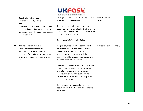

|    | Does the institution have a                | Raising a concern and whistleblowing policy is     | Legal/Compliance      |         |  |
|----|--------------------------------------------|----------------------------------------------------|-----------------------|---------|--|
|    | Freedom of Speech/Expression               | available within the business.                     | Team                  |         |  |
|    | policy?                                    |                                                    |                       |         |  |
|    | Developed clearer guidelines on balancing  | Training created and completed to make             |                       |         |  |
|    |                                            | people aware of what radicalisation is and how     |                       |         |  |
|    | freedom of expression with the need to     | it might affect people. This is re-enforced in the |                       |         |  |
|    | protect vulnerable individuals and respect |                                                    |                       |         |  |
|    | the Equality duty?                         | policy available to all staff                      |                       |         |  |
|    |                                            | Can be seen in Safeguarding Policy                 |                       |         |  |
|    |                                            |                                                    |                       |         |  |
|    | Policy on external speakers                | All speakers/guests must be accompanied            | <b>Education Team</b> | Ongoing |  |
| 11 |                                            |                                                    |                       |         |  |
|    | Do you have external speakers?             | around the business by a member of the             |                       |         |  |
|    | If so do you have a risk assessment        | UKFast team to meet compliance.                    |                       |         |  |
|    | framework for dealing with requests for    | Any external person working with the               |                       |         |  |
|    | external speakers on employer provider     | apprentices will always be accompanied by a        |                       |         |  |
|    | sites?                                     | member of the UKFast Training Team.                |                       |         |  |
|    |                                            | We have a document named the "Events Brief"        |                       |         |  |
|    |                                            | Sheet" this is completed by the events team or     |                       |         |  |
|    |                                            | any external partners using the space.             |                       |         |  |
|    |                                            | External/non-educational events are held in        |                       |         |  |
|    |                                            | the Auditorium in a different building to the      |                       |         |  |
|    |                                            |                                                    |                       |         |  |
|    |                                            | apprentice classroom.                              |                       |         |  |
|    |                                            | External events are subject to the above           |                       |         |  |
|    |                                            |                                                    |                       |         |  |
|    |                                            | document which must be completed prior to          |                       |         |  |
|    |                                            | the event.                                         |                       |         |  |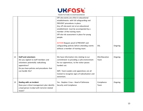

|    |                                              | Off-site events are often in educational         |               |         |  |
|----|----------------------------------------------|--------------------------------------------------|---------------|---------|--|
|    |                                              | establishments with full safeguarding and        |               |         |  |
|    |                                              | PREVENT procedures in place.                     |               |         |  |
|    |                                              | Any off-site event not at an educational         |               |         |  |
|    |                                              | establishment must be accompanied by a           |               |         |  |
|    |                                              | member of the training team.                     |               |         |  |
|    |                                              | Off-site risk assessment in place for young      |               |         |  |
|    |                                              | people.                                          |               |         |  |
|    |                                              |                                                  |               |         |  |
|    |                                              | <b>ACTION Request proof of PREVENT and</b>       |               |         |  |
|    |                                              | safeguarding policies before attending events    | <b>DSL</b>    | Ongoing |  |
|    |                                              | without a member of training team.               |               |         |  |
|    |                                              |                                                  |               |         |  |
|    |                                              |                                                  |               |         |  |
| 12 | <b>Staff and volunteers</b>                  | We have information into relating to our         | DSL/Education | Ongoing |  |
|    | Are you vigilant to staff members and        | commitment to providing a safe environment       | Team          |         |  |
|    | volunteers potentially radicalising          | for our apprentices, to the visitor passes       |               |         |  |
|    | apprentices?                                 | handed out.                                      |               |         |  |
|    | Do you have policies and procedures that     |                                                  |               |         |  |
|    | can handle this?                             | SMT, Team Leaders and apprentices are all        |               |         |  |
|    |                                              | trained to recognise signs of radicalisation and |               |         |  |
|    |                                              | extremism.                                       |               |         |  |
|    |                                              |                                                  |               |         |  |
| 13 | Dealing with an incident                     | Yes - Stephen Crow - Head of Defensive           | Compliance    | Ongoing |  |
|    | Does your critical management plan identify  | Security and Compliance                          | Team          |         |  |
|    | a lead person to deal with terrorist related |                                                  |               |         |  |
|    | issues?                                      |                                                  |               |         |  |
|    |                                              |                                                  |               |         |  |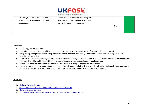

| How will you communicate with and     | Incident response policy covers a range of  |         |  |
|---------------------------------------|---------------------------------------------|---------|--|
| reassure local communities, staff and | responses to serious incidents, this covers |         |  |
| apprentices?                          | terrorist issues relating to PREVENT.       |         |  |
|                                       |                                             | Ongoing |  |
|                                       |                                             |         |  |
|                                       |                                             |         |  |

#### **Definitions**

- An ideology is a set of beliefs.
- Radicalisation is the process by which a person comes to support terrorism and forms of extremism leading to terrorism.
- Safeguarding is the process of protecting vulnerable people, whether from crime, other forms of abuse or from being drawn into terrorism-related activity.
- Terrorism is an action that endangers or causes serious violence damage or disruption and is intended to influence the Government or to intimidate the public and is made with the intention of advancing a political, religious or ideological cause.
- Vulnerability describes factors and characteristics associated with being susceptible to radicalisation.
- Extremism is vocal or active opposition to fundamental British values, including democracy, the rule of law, individual liberty and mutual respect and tolerance of different faiths and beliefs. Calls for the death of British armed forces is also included.

#### **Useful links**

- 1. [National Prevent Strategy](https://www.gov.uk/government/uploads/system/uploads/attachment_data/file/97976/prevent-strategy-review.pdf)
- 2. [Prime Ministers Task Force Report on Radicalisation & Extremism](https://www.gov.uk/government/uploads/system/uploads/attachment_data/file/263181/ETF_FINAL.pdf)
- 3. [National Channel Guidance](https://www.gov.uk/government/uploads/system/uploads/attachment_data/file/118194/channel-guidance.pdf)
- 4. [ETF Prevent for FE and training website:](http://preventforfeandtraining.org.uk/) http://preventforfeandtraining.org.uk